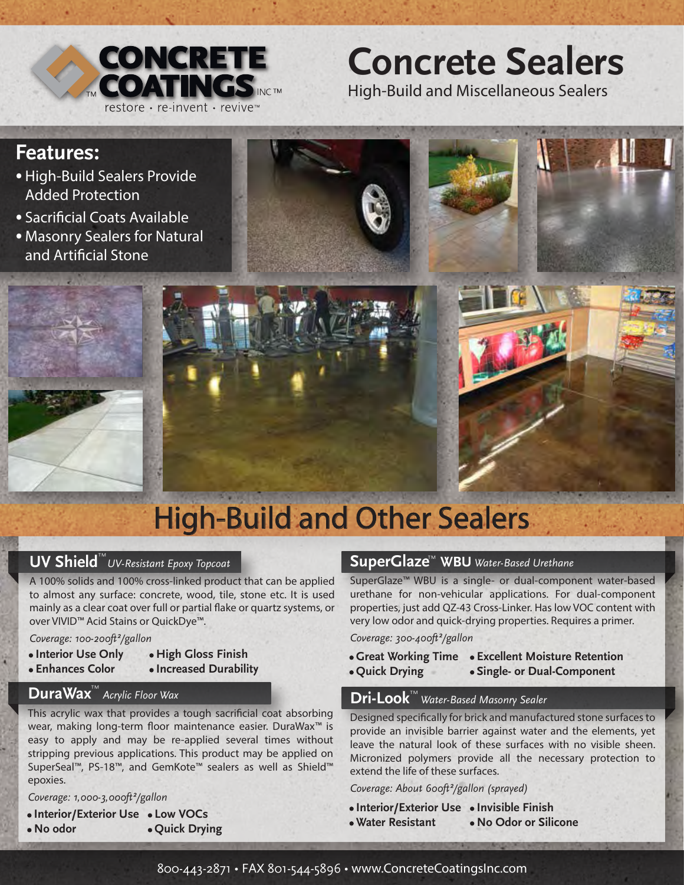

## **Concrete Sealers**

High-Build and Miscellaneous Sealers

## **Features:**

- High-Build Sealers Provide Added Protection ·
- · Sacrificial Coats Available
- · Masonry Sealers for Natural and Artificial Stone

# High-Build and Other Sealers

## **UV Shield**<sup>™</sup>UV-Resistant Epoxy Topcoat

A 100% solids and 100% cross-linked product that can be applied to almost any surface: concrete, wood, tile, stone etc. It is used mainly as a clear coat over full or partial flake or quartz systems, or over VIVID™ Acid Stains or QuickDye™.

#### *Coverage: 100-200ft²/gallon*

- **· Interior Use Only · High Gloss Finish**
- **· Enhances Color · Increased Durability**
- 

## **DuraWax**<sup>™</sup> Acrylic Floor Wax

This acrylic wax that provides a tough sacrificial coat absorbing wear, making long-term floor maintenance easier. DuraWax<sup>™</sup> is easy to apply and may be re-applied several times without stripping previous applications. This product may be applied on SuperSeal™, PS-18™, and GemKote™ sealers as well as Shield™ epoxies.

*Coverage: 1,000-3,000ft²/gallon*

**· Interior/Exterior Use · Low VOCs · No odor · Quick Drying**

### **SuperGlaze**™ **WBU** *Water-Based Urethane*

SuperGlaze™ WBU is a single- or dual-component water-based urethane for non-vehicular applications. For dual-component properties, just add QZ-43 Cross-Linker. Has low VOC content with very low odor and quick-drying properties. Requires a primer.

*Coverage: 300-400ft²/gallon* 

- **· Great Working Time · Excellent Moisture Retention**
- **· Quick Drying · Single- or Dual-Component**
	-

## **Dri-Look** *Water-Based Masonry Sealer* ™

Designed specifically for brick and manufactured stone surfaces to provide an invisible barrier against water and the elements, yet leave the natural look of these surfaces with no visible sheen. Micronized polymers provide all the necessary protection to extend the life of these surfaces.

*Coverage: About 600ft²/gallon (sprayed)*

- **· Interior/Exterior Use · Invisible Finish**
- **· Water Resistant · No Odor or Silicone**